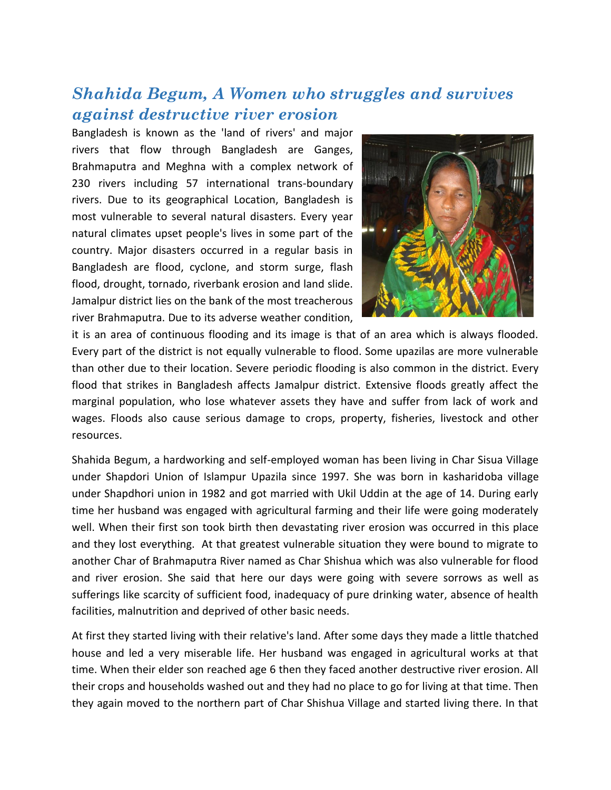## *Shahida Begum, A Women who struggles and survives against destructive river erosion*

Bangladesh is known as the 'land of rivers' and major rivers that flow through Bangladesh are Ganges, Brahmaputra and Meghna with a complex network of 230 rivers including 57 international trans-boundary rivers. Due to its geographical Location, Bangladesh is most vulnerable to several natural disasters. Every year natural climates upset people's lives in some part of the country. Major disasters occurred in a regular basis in Bangladesh are flood, cyclone, and storm surge, flash flood, drought, tornado, riverbank erosion and land slide. Jamalpur district lies on the bank of the most treacherous river Brahmaputra. Due to its adverse weather condition,



it is an area of continuous flooding and its image is that of an area which is always flooded. Every part of the district is not equally vulnerable to flood. Some upazilas are more vulnerable than other due to their location. Severe periodic flooding is also common in the district. Every flood that strikes in Bangladesh affects Jamalpur district. Extensive floods greatly affect the marginal population, who lose whatever assets they have and suffer from lack of work and wages. Floods also cause serious damage to crops, property, fisheries, livestock and other resources.

Shahida Begum, a hardworking and self-employed woman has been living in Char Sisua Village under Shapdori Union of Islampur Upazila since 1997. She was born in kasharidoba village under Shapdhori union in 1982 and got married with Ukil Uddin at the age of 14. During early time her husband was engaged with agricultural farming and their life were going moderately well. When their first son took birth then devastating river erosion was occurred in this place and they lost everything. At that greatest vulnerable situation they were bound to migrate to another Char of Brahmaputra River named as Char Shishua which was also vulnerable for flood and river erosion. She said that here our days were going with severe sorrows as well as sufferings like scarcity of sufficient food, inadequacy of pure drinking water, absence of health facilities, malnutrition and deprived of other basic needs.

At first they started living with their relative's land. After some days they made a little thatched house and led a very miserable life. Her husband was engaged in agricultural works at that time. When their elder son reached age 6 then they faced another destructive river erosion. All their crops and households washed out and they had no place to go for living at that time. Then they again moved to the northern part of Char Shishua Village and started living there. In that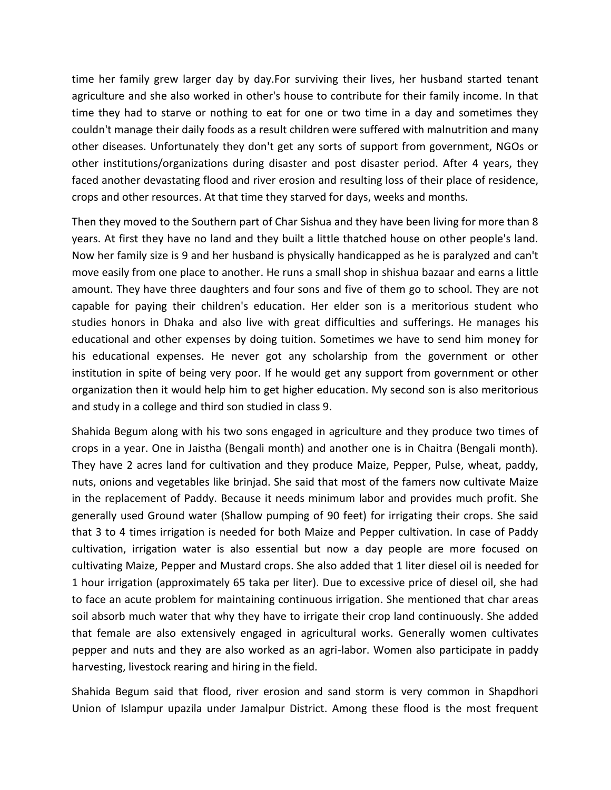time her family grew larger day by day.For surviving their lives, her husband started tenant agriculture and she also worked in other's house to contribute for their family income. In that time they had to starve or nothing to eat for one or two time in a day and sometimes they couldn't manage their daily foods as a result children were suffered with malnutrition and many other diseases. Unfortunately they don't get any sorts of support from government, NGOs or other institutions/organizations during disaster and post disaster period. After 4 years, they faced another devastating flood and river erosion and resulting loss of their place of residence, crops and other resources. At that time they starved for days, weeks and months.

Then they moved to the Southern part of Char Sishua and they have been living for more than 8 years. At first they have no land and they built a little thatched house on other people's land. Now her family size is 9 and her husband is physically handicapped as he is paralyzed and can't move easily from one place to another. He runs a small shop in shishua bazaar and earns a little amount. They have three daughters and four sons and five of them go to school. They are not capable for paying their children's education. Her elder son is a meritorious student who studies honors in Dhaka and also live with great difficulties and sufferings. He manages his educational and other expenses by doing tuition. Sometimes we have to send him money for his educational expenses. He never got any scholarship from the government or other institution in spite of being very poor. If he would get any support from government or other organization then it would help him to get higher education. My second son is also meritorious and study in a college and third son studied in class 9.

Shahida Begum along with his two sons engaged in agriculture and they produce two times of crops in a year. One in Jaistha (Bengali month) and another one is in Chaitra (Bengali month). They have 2 acres land for cultivation and they produce Maize, Pepper, Pulse, wheat, paddy, nuts, onions and vegetables like brinjad. She said that most of the famers now cultivate Maize in the replacement of Paddy. Because it needs minimum labor and provides much profit. She generally used Ground water (Shallow pumping of 90 feet) for irrigating their crops. She said that 3 to 4 times irrigation is needed for both Maize and Pepper cultivation. In case of Paddy cultivation, irrigation water is also essential but now a day people are more focused on cultivating Maize, Pepper and Mustard crops. She also added that 1 liter diesel oil is needed for 1 hour irrigation (approximately 65 taka per liter). Due to excessive price of diesel oil, she had to face an acute problem for maintaining continuous irrigation. She mentioned that char areas soil absorb much water that why they have to irrigate their crop land continuously. She added that female are also extensively engaged in agricultural works. Generally women cultivates pepper and nuts and they are also worked as an agri-labor. Women also participate in paddy harvesting, livestock rearing and hiring in the field.

Shahida Begum said that flood, river erosion and sand storm is very common in Shapdhori Union of Islampur upazila under Jamalpur District. Among these flood is the most frequent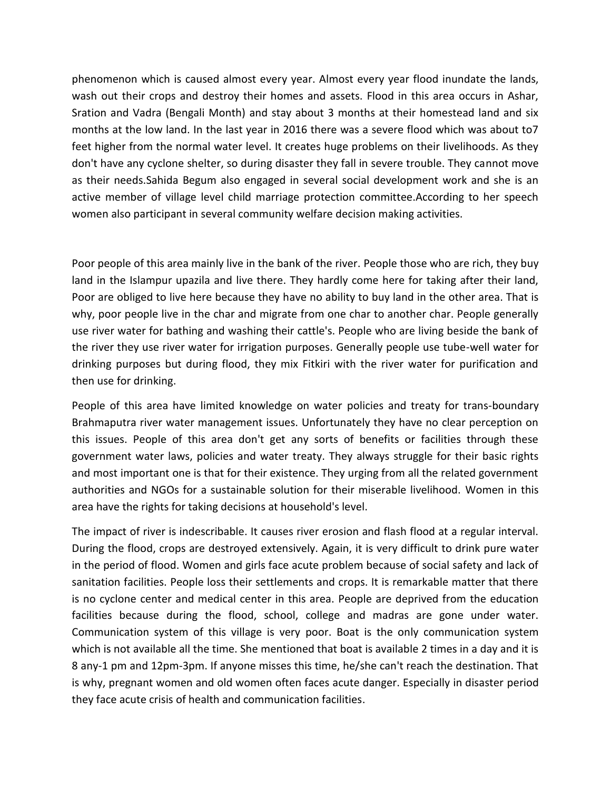phenomenon which is caused almost every year. Almost every year flood inundate the lands, wash out their crops and destroy their homes and assets. Flood in this area occurs in Ashar, Sration and Vadra (Bengali Month) and stay about 3 months at their homestead land and six months at the low land. In the last year in 2016 there was a severe flood which was about to7 feet higher from the normal water level. It creates huge problems on their livelihoods. As they don't have any cyclone shelter, so during disaster they fall in severe trouble. They cannot move as their needs.Sahida Begum also engaged in several social development work and she is an active member of village level child marriage protection committee.According to her speech women also participant in several community welfare decision making activities.

Poor people of this area mainly live in the bank of the river. People those who are rich, they buy land in the Islampur upazila and live there. They hardly come here for taking after their land, Poor are obliged to live here because they have no ability to buy land in the other area. That is why, poor people live in the char and migrate from one char to another char. People generally use river water for bathing and washing their cattle's. People who are living beside the bank of the river they use river water for irrigation purposes. Generally people use tube-well water for drinking purposes but during flood, they mix Fitkiri with the river water for purification and then use for drinking.

People of this area have limited knowledge on water policies and treaty for trans-boundary Brahmaputra river water management issues. Unfortunately they have no clear perception on this issues. People of this area don't get any sorts of benefits or facilities through these government water laws, policies and water treaty. They always struggle for their basic rights and most important one is that for their existence. They urging from all the related government authorities and NGOs for a sustainable solution for their miserable livelihood. Women in this area have the rights for taking decisions at household's level.

The impact of river is indescribable. It causes river erosion and flash flood at a regular interval. During the flood, crops are destroyed extensively. Again, it is very difficult to drink pure water in the period of flood. Women and girls face acute problem because of social safety and lack of sanitation facilities. People loss their settlements and crops. It is remarkable matter that there is no cyclone center and medical center in this area. People are deprived from the education facilities because during the flood, school, college and madras are gone under water. Communication system of this village is very poor. Boat is the only communication system which is not available all the time. She mentioned that boat is available 2 times in a day and it is 8 any-1 pm and 12pm-3pm. If anyone misses this time, he/she can't reach the destination. That is why, pregnant women and old women often faces acute danger. Especially in disaster period they face acute crisis of health and communication facilities.